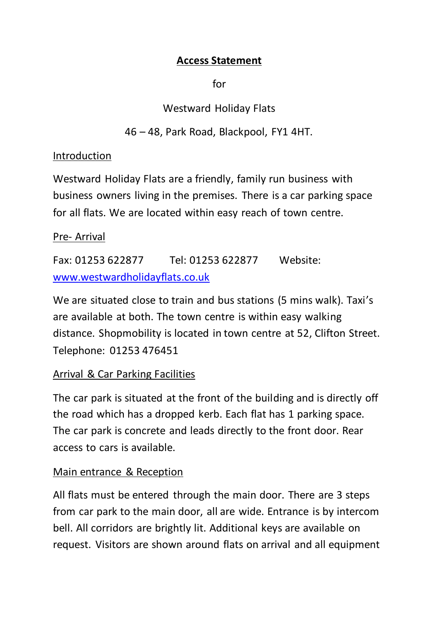### **Access Statement**

for

# Westward Holiday Flats

# 46 – 48, Park Road, Blackpool, FY1 4HT.

### Introduction

Westward Holiday Flats are a friendly, family run business with business owners living in the premises. There is a car parking space for all flats. We are located within easy reach of town centre.

## Pre- Arrival

Fax: 01253 622877 Tel: 01253 622877 Website: [www.westwardholidayflats.co.uk](http://www.westwardholidayflats.co.uk/)

We are situated close to train and bus stations (5 mins walk). Taxi's are available at both. The town centre is within easy walking distance. Shopmobility is located in town centre at 52, Clifton Street. Telephone: 01253 476451

## Arrival & Car Parking Facilities

The car park is situated at the front of the building and is directly off the road which has a dropped kerb. Each flat has 1 parking space. The car park is concrete and leads directly to the front door. Rear access to cars is available.

## Main entrance & Reception

All flats must be entered through the main door. There are 3 steps from car park to the main door, all are wide. Entrance is by intercom bell. All corridors are brightly lit. Additional keys are available on request. Visitors are shown around flats on arrival and all equipment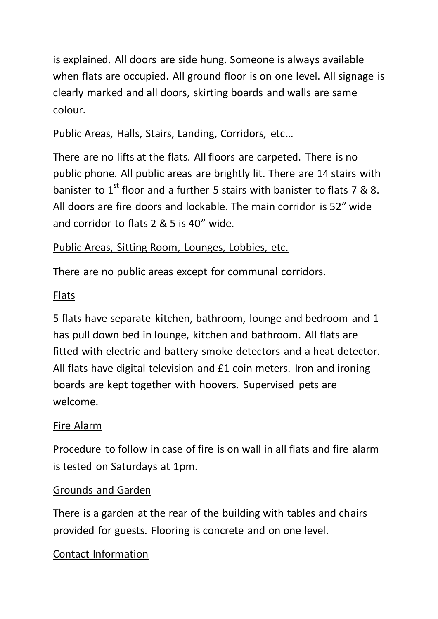is explained. All doors are side hung. Someone is always available when flats are occupied. All ground floor is on one level. All signage is clearly marked and all doors, skirting boards and walls are same colour.

# Public Areas, Halls, Stairs, Landing, Corridors, etc…

There are no lifts at the flats. All floors are carpeted. There is no public phone. All public areas are brightly lit. There are 14 stairs with banister to 1<sup>st</sup> floor and a further 5 stairs with banister to flats 7 & 8. All doors are fire doors and lockable. The main corridor is 52" wide and corridor to flats 2 & 5 is 40" wide.

## Public Areas, Sitting Room, Lounges, Lobbies, etc.

There are no public areas except for communal corridors.

### Flats

5 flats have separate kitchen, bathroom, lounge and bedroom and 1 has pull down bed in lounge, kitchen and bathroom. All flats are fitted with electric and battery smoke detectors and a heat detector. All flats have digital television and £1 coin meters. Iron and ironing boards are kept together with hoovers. Supervised pets are welcome.

#### Fire Alarm

Procedure to follow in case of fire is on wall in all flats and fire alarm is tested on Saturdays at 1pm.

#### Grounds and Garden

There is a garden at the rear of the building with tables and chairs provided for guests. Flooring is concrete and on one level.

#### Contact Information